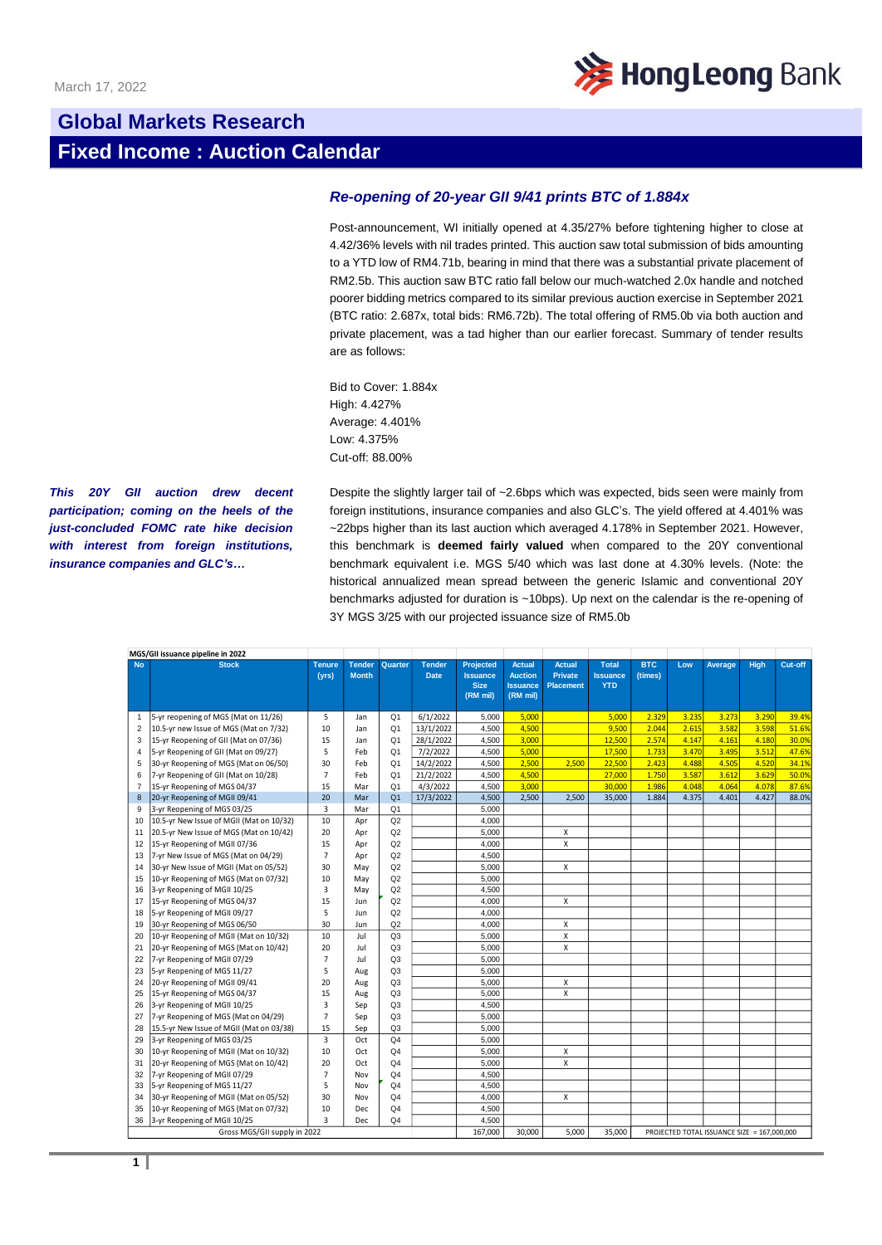

## **Global Markets Research Fixed Income : Auction Calendar**

## *Re-opening of 20-year GII 9/41 prints BTC of 1.884x*

Post-announcement, WI initially opened at 4.35/27% before tightening higher to close at 4.42/36% levels with nil trades printed. This auction saw total submission of bids amounting to a YTD low of RM4.71b, bearing in mind that there was a substantial private placement of RM2.5b. This auction saw BTC ratio fall below our much-watched 2.0x handle and notched poorer bidding metrics compared to its similar previous auction exercise in September 2021 (BTC ratio: 2.687x, total bids: RM6.72b). The total offering of RM5.0b via both auction and private placement, was a tad higher than our earlier forecast. Summary of tender results are as follows:

Bid to Cover: 1.884x High: 4.427% Average: 4.401% Low: 4.375% Cut-off: 88.00%

*This 20Y GII auction drew decent participation; coming on the heels of the just-concluded FOMC rate hike decision with interest from foreign institutions, insurance companies and GLC's…*

Despite the slightly larger tail of ~2.6bps which was expected, bids seen were mainly from foreign institutions, insurance companies and also GLC's. The yield offered at 4.401% was ~22bps higher than its last auction which averaged 4.178% in September 2021. However, this benchmark is **deemed fairly valued** when compared to the 20Y conventional benchmark equivalent i.e. MGS 5/40 which was last done at 4.30% levels. (Note: the historical annualized mean spread between the generic Islamic and conventional 20Y benchmarks adjusted for duration is ~10bps). Up next on the calendar is the re-opening of 3Y MGS 3/25 with our projected issuance size of RM5.0b

|                              | MGS/GII issuance pipeline in 2022        |                        |                               |                |                              |                                                                |                                                                |                                                     |                                               |                       |       |                                             |       |         |
|------------------------------|------------------------------------------|------------------------|-------------------------------|----------------|------------------------------|----------------------------------------------------------------|----------------------------------------------------------------|-----------------------------------------------------|-----------------------------------------------|-----------------------|-------|---------------------------------------------|-------|---------|
| <b>No</b>                    | <b>Stock</b>                             | <b>Tenure</b><br>(vrs) | <b>Tender</b><br><b>Month</b> | Quarter        | <b>Tender</b><br><b>Date</b> | <b>Projected</b><br><b>Issuance</b><br><b>Size</b><br>(RM mil) | <b>Actual</b><br><b>Auction</b><br><b>Issuance</b><br>(RM mil) | <b>Actual</b><br><b>Private</b><br><b>Placement</b> | <b>Total</b><br><b>Issuance</b><br><b>YTD</b> | <b>BTC</b><br>(times) | Low   | Average                                     | High  | Cut-off |
| $\mathbf{1}$                 | 5-yr reopening of MGS (Mat on 11/26)     | 5                      | Jan                           | Q <sub>1</sub> | 6/1/2022                     | 5.000                                                          | 5.000                                                          |                                                     | 5.000                                         | 2.329                 | 3.235 | 3.273                                       | 3.290 | 39.4%   |
| 2                            | 10.5-yr new Issue of MGS (Mat on 7/32)   | 10                     | Jan                           | Q <sub>1</sub> | 13/1/2022                    | 4.500                                                          | 4,500                                                          |                                                     | 9.500                                         | 2.044                 | 2.615 | 3.582                                       | 3.598 | 51.6%   |
| 3                            | 15-yr Reopening of GII (Mat on 07/36)    | 15                     | Jan                           | Q <sub>1</sub> | 28/1/2022                    | 4.500                                                          | 3.000                                                          |                                                     | 12.500                                        | 2.574                 | 4.147 | 4.161                                       | 4.180 | 30.0%   |
| 4                            | 5-yr Reopening of GII (Mat on 09/27)     | 5                      | Feb                           | Q <sub>1</sub> | 7/2/2022                     | 4.500                                                          | 5,000                                                          |                                                     | 17,500                                        | 1.733                 | 3.470 | 3.495                                       | 3.512 | 47.6%   |
| 5                            | 30-yr Reopening of MGS (Mat on 06/50)    | 30                     | Feb                           | Q <sub>1</sub> | 14/2/2022                    | 4,500                                                          | 2,500                                                          | 2,500                                               | 22,500                                        | 2.423                 | 4.488 | 4.505                                       | 4.520 | 34.1%   |
| 6                            | 7-yr Reopening of GII (Mat on 10/28)     | $\overline{7}$         | Feb                           | Q <sub>1</sub> | 21/2/2022                    | 4,500                                                          | 4,500                                                          |                                                     | 27,000                                        | 1.750                 | 3.587 | 3.612                                       | 3.629 | 50.09   |
| $\overline{7}$               | 15-yr Reopening of MGS 04/37             | 15                     | Mar                           | O <sub>1</sub> | 4/3/2022                     | 4,500                                                          | 3.000                                                          |                                                     | 30,000                                        | 1.986                 | 4.048 | 4.064                                       | 4.078 | 87.6%   |
| 8                            | 20-yr Reopening of MGII 09/41            | 20                     | Mar                           | Q <sub>1</sub> | 17/3/2022                    | 4,500                                                          | 2,500                                                          | 2,500                                               | 35,000                                        | 1.884                 | 4.375 | 4.401                                       | 4.427 | 88.0%   |
| 9                            | 3-yr Reopening of MGS 03/25              | 3                      | Mar                           | Q <sub>1</sub> |                              | 5,000                                                          |                                                                |                                                     |                                               |                       |       |                                             |       |         |
| 10                           | 10.5-yr New Issue of MGII (Mat on 10/32) | 10                     | Apr                           | Q2             |                              | 4,000                                                          |                                                                |                                                     |                                               |                       |       |                                             |       |         |
| 11                           | 20.5-yr New Issue of MGS (Mat on 10/42)  | 20                     | Apr                           | Q2             |                              | 5,000                                                          |                                                                | X                                                   |                                               |                       |       |                                             |       |         |
| 12                           | 15-yr Reopening of MGII 07/36            | 15                     | Apr                           | Q2             |                              | 4,000                                                          |                                                                | $\pmb{\times}$                                      |                                               |                       |       |                                             |       |         |
| 13                           | 7-yr New Issue of MGS (Mat on 04/29)     | $\overline{7}$         | Apr                           | Q2             |                              | 4,500                                                          |                                                                |                                                     |                                               |                       |       |                                             |       |         |
| 14                           | 30-yr New Issue of MGII (Mat on 05/52)   | 30                     | May                           | Q2             |                              | 5,000                                                          |                                                                | X                                                   |                                               |                       |       |                                             |       |         |
| 15                           | 10-yr Reopening of MGS (Mat on 07/32)    | 10                     | May                           | Q2             |                              | 5.000                                                          |                                                                |                                                     |                                               |                       |       |                                             |       |         |
| 16                           | 3-yr Reopening of MGII 10/25             | 3                      | May                           | Q2             |                              | 4.500                                                          |                                                                |                                                     |                                               |                       |       |                                             |       |         |
| 17                           | 15-yr Reopening of MGS 04/37             | 15                     | Jun                           | Q2             |                              | 4,000                                                          |                                                                | $\pmb{\times}$                                      |                                               |                       |       |                                             |       |         |
| 18                           | 5-yr Reopening of MGII 09/27             | 5                      | Jun                           | Q2             |                              | 4.000                                                          |                                                                |                                                     |                                               |                       |       |                                             |       |         |
| 19                           | 30-yr Reopening of MGS 06/50             | 30                     | Jun                           | Q2             |                              | 4.000                                                          |                                                                | $\pmb{\times}$                                      |                                               |                       |       |                                             |       |         |
| 20                           | 10-yr Reopening of MGII (Mat on 10/32)   | 10                     | Jul                           | Q <sub>3</sub> |                              | 5,000                                                          |                                                                | $\pmb{\times}$                                      |                                               |                       |       |                                             |       |         |
| 21                           | 20-yr Reopening of MGS (Mat on 10/42)    | 20                     | Jul                           | Q <sub>3</sub> |                              | 5.000                                                          |                                                                | $\pmb{\times}$                                      |                                               |                       |       |                                             |       |         |
| 22                           | 7-yr Reopening of MGII 07/29             | $\overline{7}$         | Jul                           | Q <sub>3</sub> |                              | 5.000                                                          |                                                                |                                                     |                                               |                       |       |                                             |       |         |
| 23                           | 5-yr Reopening of MGS 11/27              | 5                      | Aug                           | Q <sub>3</sub> |                              | 5.000                                                          |                                                                |                                                     |                                               |                       |       |                                             |       |         |
| 24                           | 20-yr Reopening of MGII 09/41            | 20                     | Aug                           | Q <sub>3</sub> |                              | 5,000                                                          |                                                                | X                                                   |                                               |                       |       |                                             |       |         |
| 25                           | 15-yr Reopening of MGS 04/37             | 15                     | Aug                           | Q <sub>3</sub> |                              | 5,000                                                          |                                                                | $\mathsf{x}$                                        |                                               |                       |       |                                             |       |         |
| 26                           | 3-yr Reopening of MGII 10/25             | 3                      | Sep                           | Q <sub>3</sub> |                              | 4,500                                                          |                                                                |                                                     |                                               |                       |       |                                             |       |         |
| 27                           | 7-yr Reopening of MGS (Mat on 04/29)     | $\overline{7}$         | Sep                           | Q <sub>3</sub> |                              | 5,000                                                          |                                                                |                                                     |                                               |                       |       |                                             |       |         |
| 28                           | 15.5-yr New Issue of MGII (Mat on 03/38) | 15                     | Sep                           | Q3             |                              | 5,000                                                          |                                                                |                                                     |                                               |                       |       |                                             |       |         |
| 29                           | 3-yr Reopening of MGS 03/25              | $\overline{3}$         | Oct                           | Q <sub>4</sub> |                              | 5,000                                                          |                                                                |                                                     |                                               |                       |       |                                             |       |         |
| 30                           | 10-yr Reopening of MGII (Mat on 10/32)   | 10                     | Oct                           | Q <sub>4</sub> |                              | 5,000                                                          |                                                                | X                                                   |                                               |                       |       |                                             |       |         |
| 31                           | 20-yr Reopening of MGS (Mat on 10/42)    | 20                     | Oct                           | Q <sub>4</sub> |                              | 5,000                                                          |                                                                | $\overline{\mathbf{x}}$                             |                                               |                       |       |                                             |       |         |
| 32                           | 7-yr Reopening of MGII 07/29             | $\overline{7}$         | Nov                           | Q <sub>4</sub> |                              | 4.500                                                          |                                                                |                                                     |                                               |                       |       |                                             |       |         |
| 33                           | 5-yr Reopening of MGS 11/27              | 5                      | Nov                           | Q <sub>4</sub> |                              | 4,500                                                          |                                                                |                                                     |                                               |                       |       |                                             |       |         |
| 34                           | 30-yr Reopening of MGII (Mat on 05/52)   | 30                     | Nov                           | Q4             |                              | 4,000                                                          |                                                                | X                                                   |                                               |                       |       |                                             |       |         |
| 35                           | 10-yr Reopening of MGS (Mat on 07/32)    | 10                     | Dec                           | Q <sub>4</sub> |                              | 4,500                                                          |                                                                |                                                     |                                               |                       |       |                                             |       |         |
| 36                           | 3-yr Reopening of MGII 10/25             | $\overline{3}$         | Dec                           | Q <sub>4</sub> |                              | 4,500                                                          |                                                                |                                                     |                                               |                       |       |                                             |       |         |
| Gross MGS/GII supply in 2022 |                                          |                        |                               |                |                              |                                                                | 30,000                                                         | 5.000                                               | 35,000                                        |                       |       | PROJECTED TOTAL ISSUANCE SIZE = 167,000,000 |       |         |